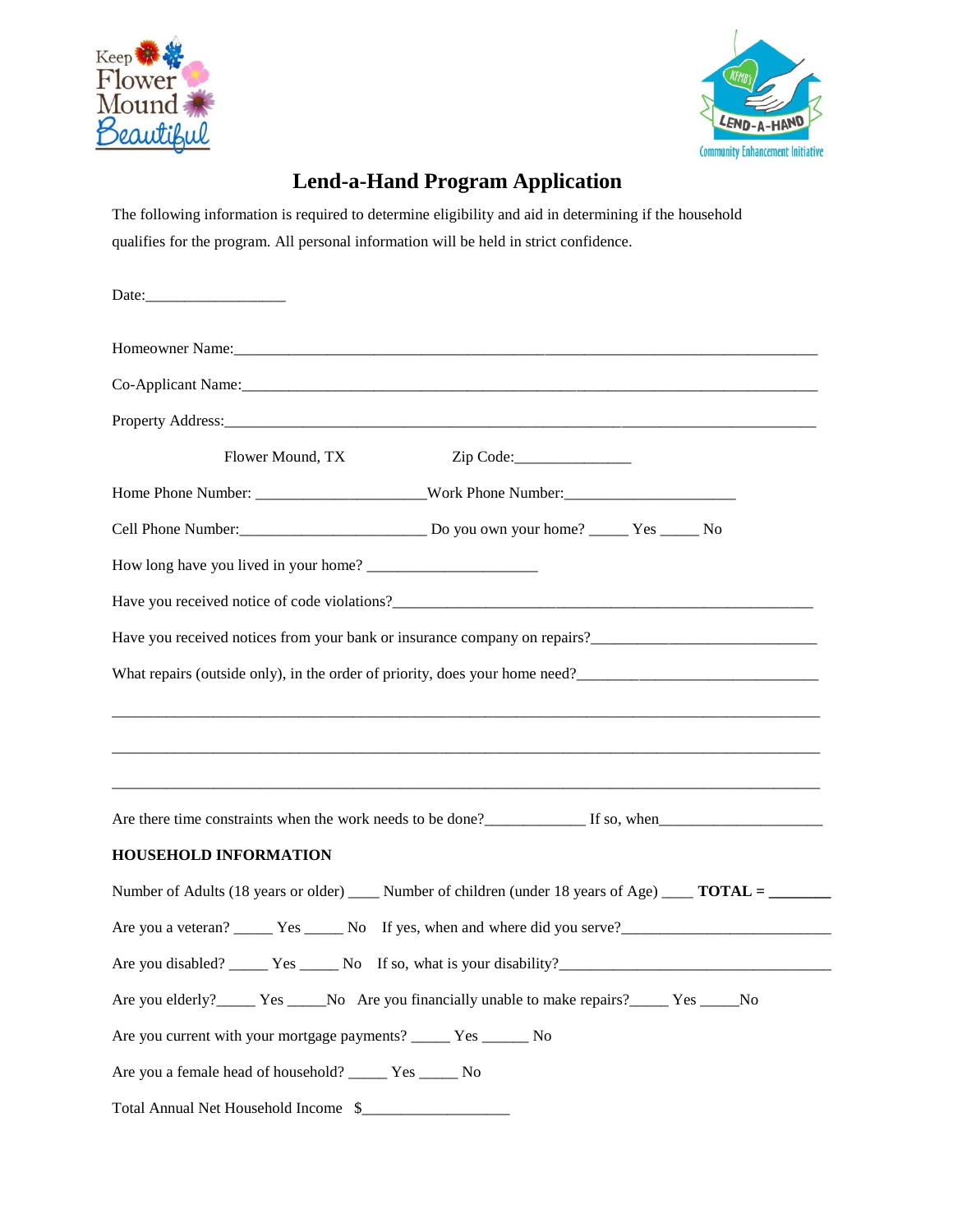



## **Lend-a-Hand Program Application**

The following information is required to determine eligibility and aid in determining if the household qualifies for the program. All personal information will be held in strict confidence.

| Flower Mound, TX                                                                                              |
|---------------------------------------------------------------------------------------------------------------|
|                                                                                                               |
|                                                                                                               |
|                                                                                                               |
|                                                                                                               |
|                                                                                                               |
|                                                                                                               |
|                                                                                                               |
|                                                                                                               |
| Are there time constraints when the work needs to be done?<br><u>Let</u> so, when                             |
| <b>HOUSEHOLD INFORMATION</b>                                                                                  |
| Number of Adults (18 years or older) ______ Number of children (under 18 years of Age) ______ TOTAL = _______ |
|                                                                                                               |
|                                                                                                               |
| Are you elderly? _______ Yes _______ No Are you financially unable to make repairs? _______ Yes ______ No     |
| Are you current with your mortgage payments? _____ Yes _____ No                                               |
| Are you a female head of household? ______ Yes _____ No                                                       |
| Total Annual Net Household Income \$                                                                          |